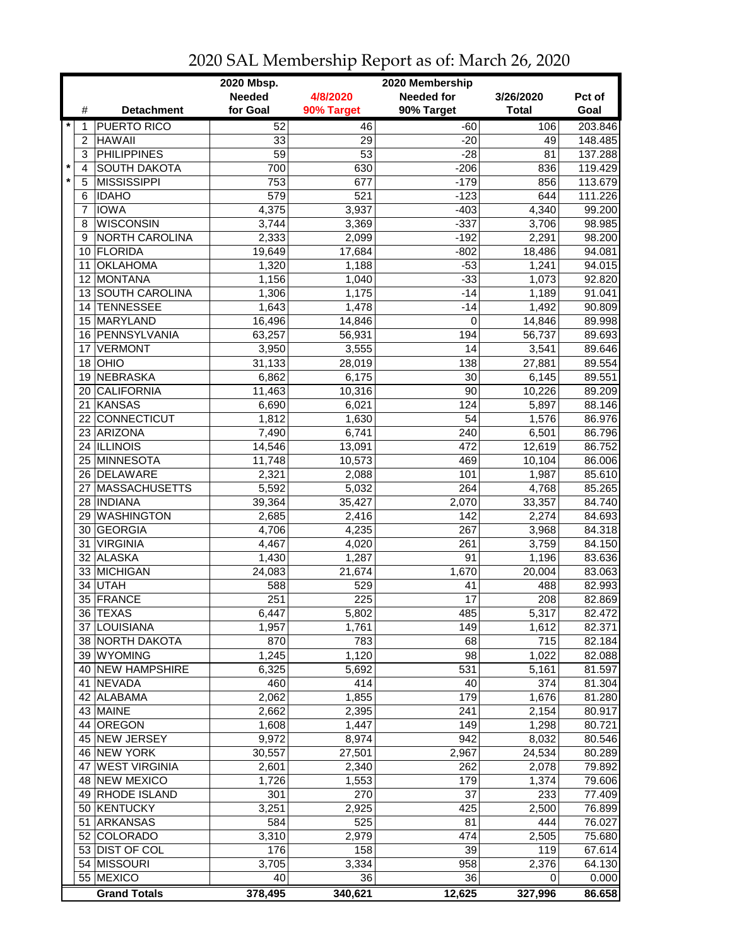|         |    |                            | 2020 Mbsp.<br>2020 Membership |                 |                   |                 |                  |  |  |
|---------|----|----------------------------|-------------------------------|-----------------|-------------------|-----------------|------------------|--|--|
|         |    |                            | <b>Needed</b>                 | 4/8/2020        | <b>Needed for</b> | 3/26/2020       | Pct of           |  |  |
|         | #  | <b>Detachment</b>          | for Goal                      | 90% Target      | 90% Target        | <b>Total</b>    | Goal             |  |  |
| $\ast$  | 1  | <b>PUERTO RICO</b>         | 52                            | 46              | $-60$             | 106             | 203.846          |  |  |
|         | 2  | <b>HAWAII</b>              | 33                            | 29              | $-20$             | 49              | 148.485          |  |  |
|         | 3  | <b>PHILIPPINES</b>         | $\overline{59}$               | $\overline{53}$ | $-28$             | 81              | 137.288          |  |  |
| $\star$ | 4  | <b>SOUTH DAKOTA</b>        | 700                           | 630             | $-206$            | 836             | 119.429          |  |  |
| $\star$ | 5  | <b>MISSISSIPPI</b>         | 753                           | 677             | $-179$            | 856             | 113.679          |  |  |
|         | 6  | <b>IDAHO</b>               | 579                           | 521             | $-123$            | 644             | 111.226          |  |  |
|         | 7  | <b>IOWA</b>                | 4,375                         | 3,937           | $-403$            | 4,340           | 99.200           |  |  |
|         | 8  | <b>WISCONSIN</b>           | 3,744                         | 3,369           | $-337$            | 3,706           | 98.985           |  |  |
|         | 9  | NORTH CAROLINA             | 2,333                         | 2,099           | $-192$            | 2,291           | 98.200           |  |  |
|         | 10 | FLORIDA                    | 19,649                        | 17,684          | $-802$            | 18,486          | 94.081           |  |  |
|         | 11 | <b>OKLAHOMA</b>            | 1,320                         | 1,188           | $-53$             | 1,241           | 94.015           |  |  |
|         | 12 | <b>MONTANA</b>             | 1,156                         | 1,040           | $-33$             | 1,073           | 92.820           |  |  |
|         | 13 | <b>SOUTH CAROLINA</b>      | 1,306                         | 1,175           | $-14$             | 1,189           | 91.041           |  |  |
|         | 14 | <b>TENNESSEE</b>           | 1,643                         | 1,478           | $-14$             | 1,492           | 90.809           |  |  |
|         | 15 | MARYLAND                   | 16,496                        | 14,846          | 0                 | 14,846          | 89.998           |  |  |
|         | 16 | PENNSYLVANIA               | 63,257                        | 56,931          | 194               | 56,737          | 89.693           |  |  |
|         | 17 | <b>VERMONT</b>             | 3,950                         | 3,555           | 14                | 3,541           | 89.646           |  |  |
|         | 18 | OHIO                       | 31,133                        | 28,019          | 138               | 27,881          | 89.554           |  |  |
|         |    | 19 NEBRASKA                | 6,862                         | 6,175           | 30                | 6,145           | 89.551           |  |  |
|         |    | 20 CALIFORNIA              | 11,463                        | 10,316          | $\overline{90}$   | 10,226          | 89.209           |  |  |
|         | 21 | KANSAS                     | 6,690                         | 6,021           | 124               | 5,897           | 88.146           |  |  |
|         |    | 22 CONNECTICUT             | 1,812                         | 1,630           | 54                | 1,576           | 86.976           |  |  |
|         |    | 23 ARIZONA                 | 7,490                         | 6,741           | 240               | 6,501           | 86.796           |  |  |
|         |    | 24 ILLINOIS                | 14,546                        | 13,091          | 472               | 12,619          | 86.752           |  |  |
|         | 25 | <b>MINNESOTA</b>           | 11,748                        | 10,573          | 469               | 10,104          | 86.006           |  |  |
|         |    | 26 DELAWARE                | 2,321                         | 2,088           | 101               | 1,987           | 85.610           |  |  |
|         | 27 | <b>MASSACHUSETTS</b>       | 5,592                         | 5,032           | 264               | 4,768           | 85.265           |  |  |
|         |    | 28   INDIANA               | 39,364                        | 35,427          | 2,070             | 33,357          | 84.740           |  |  |
|         | 29 | <b>WASHINGTON</b>          | 2,685                         | 2,416           | 142               | 2,274           | 84.693           |  |  |
|         | 30 | <b>GEORGIA</b>             | 4,706                         | 4,235           | 267               | 3,968           | 84.318           |  |  |
|         | 31 | <b>VIRGINIA</b>            | 4,467                         | 4,020           | 261               | 3,759           | 84.150           |  |  |
|         | 32 | ALASKA                     | 1,430                         | 1,287           | 91                | 1,196           | 83.636           |  |  |
|         |    | 33 MICHIGAN                | 24,083                        | 21,674          | 1,670             | 20,004          | 83.063           |  |  |
|         | 34 | <b>UTAH</b>                | 588                           | 529             | 41                | 488             | 82.993           |  |  |
|         |    | 35 FRANCE                  | 251                           | 225             | 17                | 208             | 82.869           |  |  |
|         |    | 36 TEXAS                   | 6,447                         | 5,802           | 485               | 5,317           | 82.472           |  |  |
|         |    | 37 LOUISIANA               | 1,957                         | 1,761           | 149               | 1,612           | 82.371           |  |  |
|         |    | 38 NORTH DAKOTA            | 870                           | 783             | 68                | 715             | 82.184           |  |  |
|         |    | 39 WYOMING                 | 1,245                         | 1,120           | 98                | 1,022           | 82.088           |  |  |
|         |    | 40 NEW HAMPSHIRE           | 6,325                         | 5,692           | 531               | 5,161           | 81.597           |  |  |
|         |    | 41 NEVADA                  | 460                           | 414             | 40                | 374             | 81.304           |  |  |
|         |    | 42 ALABAMA                 | 2,062                         | 1,855           | 179               | 1,676           | 81.280           |  |  |
|         |    | 43 MAINE                   | 2,662                         | 2,395           | 241               | 2,154           | 80.917           |  |  |
|         |    | 44 OREGON<br>45 NEW JERSEY | 1,608                         | 1,447           | 149<br>942        | 1,298           | 80.721           |  |  |
|         |    | 46 NEW YORK                | 9,972<br>30,557               | 8,974           | 2,967             | 8,032<br>24,534 | 80.546<br>80.289 |  |  |
|         | 47 | <b>WEST VIRGINIA</b>       |                               | 27,501          | 262               | 2,078           | 79.892           |  |  |
|         |    | 48 NEW MEXICO              | 2,601<br>1,726                | 2,340<br>1,553  | 179               | 1,374           | 79.606           |  |  |
|         |    | 49 RHODE ISLAND            | 301                           | 270             | $\overline{37}$   | 233             | 77.409           |  |  |
|         |    | 50 KENTUCKY                | 3,251                         | 2,925           | 425               | 2,500           | 76.899           |  |  |
|         | 51 | <b>ARKANSAS</b>            | 584                           | 525             | 81                | 444             | 76.027           |  |  |
|         |    | 52 COLORADO                | 3,310                         | 2,979           | 474               | 2,505           | 75.680           |  |  |
|         |    | 53 DIST OF COL             | 176                           | 158             | 39                | 119             | 67.614           |  |  |
|         |    | 54 MISSOURI                | 3,705                         | 3,334           | 958               | 2,376           | 64.130           |  |  |
|         |    | 55 MEXICO                  | 40                            | 36              | 36                | 0               | 0.000            |  |  |
|         |    | <b>Grand Totals</b>        | 378,495                       | 340,621         | 12,625            | 327,996         | 86.658           |  |  |

## 2020 SAL Membership Report as of: March 26, 2020